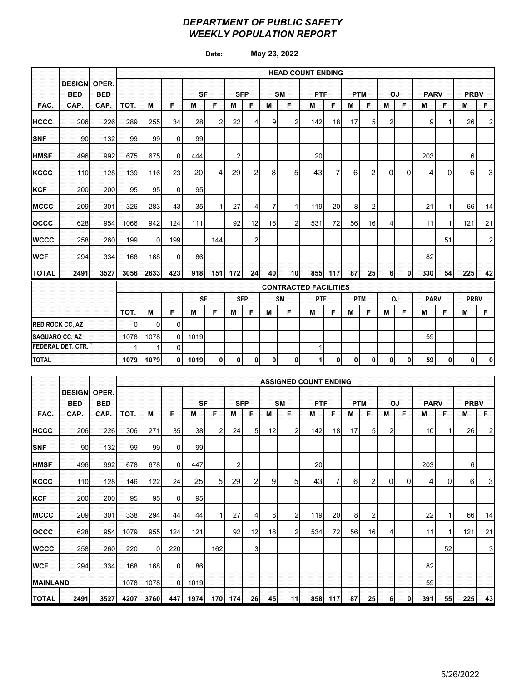### *DEPARTMENT OF PUBLIC SAFETY WEEKLY POPULATION REPORT*

**Date: May 23, 2022**

|                          |                                   |            | <b>HEAD COUNT ENDING</b> |                              |          |           |              |            |                |                |                 |            |                |              |                |              |           |             |    |             |              |
|--------------------------|-----------------------------------|------------|--------------------------|------------------------------|----------|-----------|--------------|------------|----------------|----------------|-----------------|------------|----------------|--------------|----------------|--------------|-----------|-------------|----|-------------|--------------|
|                          | <b>DESIGN OPER.</b><br><b>BED</b> | <b>BED</b> |                          |                              |          | <b>SF</b> |              | <b>SFP</b> |                |                | <b>SM</b>       | <b>PTF</b> |                |              | <b>PTM</b>     | OJ           |           | <b>PARV</b> |    | <b>PRBV</b> |              |
| FAC.                     | CAP.                              | CAP.       | TOT.                     | М                            | F        | M         | F            | М          | F              | M              | F               | М          | F              | M            | F              | M            | F         | M           | F  | M           | F            |
| <b>HCCC</b>              | 206                               | 226        | 289                      | 255                          | 34       | 28        | 2            | 22         | 4              | 9              | $\overline{2}$  | 142        | 18             | 17           | 5 <sub>l</sub> | 2            |           | 9           |    | 26          | $2\vert$     |
| <b>SNF</b>               | 90                                | 132        | 99                       | 99                           | $\Omega$ | 99        |              |            |                |                |                 |            |                |              |                |              |           |             |    |             |              |
| <b>HMSF</b>              | 496                               | 992        | 675                      | 675                          | $\Omega$ | 444       |              | 2          |                |                |                 | 20         |                |              |                |              |           | 203         |    | 6           |              |
| <b>KCCC</b>              | 110                               | 128        | 139                      | 116                          | 23       | 20        | 4            | 29         | $\overline{2}$ | 8              | 5 <sub>l</sub>  | 43         | $\overline{7}$ | 6            | $\overline{c}$ | $\Omega$     | 0         | 4           | 0  | 6           | 3            |
| <b>KCF</b>               | 200                               | 200        | 95                       | 95                           | $\Omega$ | 95        |              |            |                |                |                 |            |                |              |                |              |           |             |    |             |              |
| <b>MCCC</b>              | 209                               | 301        | 326                      | 283                          | 43       | 35        | $\mathbf{1}$ | 27         | 4              | $\overline{7}$ | $\mathbf{1}$    | 119        | 20             | 8            | $\overline{2}$ |              |           | 21          |    | 66          | 14           |
| loccc                    | 628                               | 954        | 1066                     | 942                          | 124      | 111       |              | 92         | 12             | 16             | $\overline{2}$  | 531        | 72             | 56           | 16             | 4            |           | 11          |    | 121         | 21           |
| <b>WCCC</b>              | 258                               | 260        | 199                      | $\overline{0}$               | 199      |           | 144          |            | $\overline{2}$ |                |                 |            |                |              |                |              |           |             | 51 |             | $\mathbf{2}$ |
| <b>WCF</b>               | 294                               | 334        | 168                      | 168                          | 0        | 86        |              |            |                |                |                 |            |                |              |                |              |           | 82          |    |             |              |
| <b>TOTAL</b>             | 2491                              | 3527       | 3056                     | 2633                         | 423      | 918       | 151          | 172        | 24             | 40             | 10 <sup>1</sup> | 855        | 117            | 87           | 25             | $6 \mid$     | 0         | 330         | 54 | 225         | 42           |
|                          |                                   |            |                          | <b>CONTRACTED FACILITIES</b> |          |           |              |            |                |                |                 |            |                |              |                |              |           |             |    |             |              |
|                          |                                   |            |                          |                              |          | <b>SF</b> |              |            | <b>SFP</b>     |                | <b>SM</b>       | PTF        |                |              | <b>PTM</b>     |              | <b>OJ</b> | <b>PARV</b> |    | <b>PRBV</b> |              |
|                          |                                   |            | TOT.                     | M                            | F        | М         | F            | м          | F              | M              | F               | М          | F              | M            | F              | M            | F         | M           | F  | M           | F.           |
| <b>RED ROCK CC, AZ</b>   |                                   |            | $\Omega$                 | 0                            | $\Omega$ |           |              |            |                |                |                 |            |                |              |                |              |           |             |    |             |              |
|                          | <b>SAGUARO CC, AZ</b>             |            |                          | 1078                         | $\Omega$ | 1019      |              |            |                |                |                 |            |                |              |                |              |           | 59          |    |             |              |
| <b>FEDERAL DET. CTR.</b> |                                   |            |                          | 1                            | $\Omega$ |           |              |            |                |                |                 | 1          |                |              |                |              |           |             |    |             |              |
| <b>TOTAL</b>             |                                   |            | 1079                     | 1079                         | 0        | 1019      | $\mathbf 0$  | 0          | $\mathbf{0}$   | 0              | $\mathbf{0}$    | 1          | 0              | $\mathbf{0}$ | $\mathbf{0}$   | $\mathbf{0}$ | 0         | 59          | 0  | 0           | 0            |

|                 |                             |                     | <b>ASSIGNED COUNT ENDING</b> |          |          |           |     |             |            |    |           |              |     |            |    |   |           |             |    |             |                |
|-----------------|-----------------------------|---------------------|------------------------------|----------|----------|-----------|-----|-------------|------------|----|-----------|--------------|-----|------------|----|---|-----------|-------------|----|-------------|----------------|
|                 | <b>DESIGN</b><br><b>BED</b> | OPER.<br><b>BED</b> |                              |          |          | <b>SF</b> |     |             | <b>SFP</b> |    | <b>SM</b> | <b>PTF</b>   |     | <b>PTM</b> |    |   | <b>OJ</b> | <b>PARV</b> |    | <b>PRBV</b> |                |
| FAC.            | CAP.                        | CAP.                | TOT.                         | M        | F        | M         | F   | м           | F          | M  | F         | M            | F   | M          | F  | M | F         | M           | F  | М           | F              |
| <b>HCCC</b>     | 206                         | 226                 | 306                          | 271      | 35       | 38        | 2   | 24          | 5          | 12 |           | 142          | 18  | 17         | 5  | 2 |           | 10          |    | 26          | $\overline{2}$ |
| <b>SNF</b>      | 90                          | 132                 | 99                           | 99       | 0        | 99        |     |             |            |    |           |              |     |            |    |   |           |             |    |             |                |
| <b>HMSF</b>     | 496                         | 992                 | 678                          | 678      | 0        | 447       |     | 2           |            |    |           | 20           |     |            |    |   |           | 203         |    | 6           |                |
| <b>KCCC</b>     | 110                         | 128                 | 146                          | 122      | 24       | 25        | 5   | 29          | 2          | 9  | 5         | 43           | 7   | 6          | 2  | 0 | 0         | 4           | 0  | 6           | $3 \mid$       |
| <b>KCF</b>      | 200                         | 200                 | 95                           | 95       | 0        | 95        |     |             |            |    |           |              |     |            |    |   |           |             |    |             |                |
| <b>MCCC</b>     | 209                         | 301                 | 338                          | 294      | 44       | 44        |     | 27          | 4          | 8  | 2         | 119 <b>1</b> | 20  | 8          | 2  |   |           | 22          |    | 66          | 14             |
| loccc           | 628                         | 954                 | 1079                         | 955      | 124      | 121       |     | 92          | 12         | 16 | 2         | 534          | 72  | 56         | 16 | 4 |           | 11          | 1  | 121         | 21             |
| <b>WCCC</b>     | 258                         | 260                 | 220                          | $\Omega$ | 220      |           | 162 |             | 3          |    |           |              |     |            |    |   |           |             | 52 |             | 3              |
| <b>WCF</b>      | 294                         | 334                 | 168                          | 168      | 0        | 86        |     |             |            |    |           |              |     |            |    |   |           | 82          |    |             |                |
| <b>MAINLAND</b> |                             |                     | 1078                         | 1078     | $\Omega$ | 1019      |     |             |            |    |           |              |     |            |    |   |           | 59          |    |             |                |
| <b>TOTAL</b>    | 2491                        | 3527                | 4207                         | 3760     | 447      | 1974      | 170 | <b>1741</b> | 26         | 45 | 11        | 858          | 117 | 87         | 25 | 6 | 0         | 391         | 55 | 225         | 43             |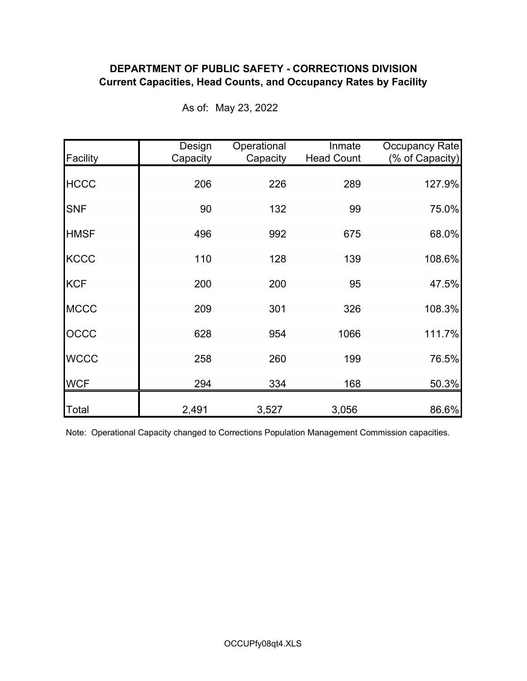## **DEPARTMENT OF PUBLIC SAFETY - CORRECTIONS DIVISION Current Capacities, Head Counts, and Occupancy Rates by Facility**

| Facility     | Design<br>Capacity | Operational<br>Capacity | Inmate<br><b>Head Count</b> | Occupancy Rate<br>(% of Capacity) |
|--------------|--------------------|-------------------------|-----------------------------|-----------------------------------|
| <b>HCCC</b>  | 206                | 226                     | 289                         | 127.9%                            |
| <b>SNF</b>   | 90                 | 132                     | 99                          | 75.0%                             |
| <b>HMSF</b>  | 496                | 992                     | 675                         | 68.0%                             |
| <b>KCCC</b>  | 110                | 128                     | 139                         | 108.6%                            |
| <b>KCF</b>   | 200                | 200                     | 95                          | 47.5%                             |
| <b>MCCC</b>  | 209                | 301                     | 326                         | 108.3%                            |
| OCCC         | 628                | 954                     | 1066                        | 111.7%                            |
| <b>WCCC</b>  | 258                | 260                     | 199                         | 76.5%                             |
| <b>WCF</b>   | 294                | 334                     | 168                         | 50.3%                             |
| <b>Total</b> | 2,491              | 3,527                   | 3,056                       | 86.6%                             |

As of: May 23, 2022

Note: Operational Capacity changed to Corrections Population Management Commission capacities.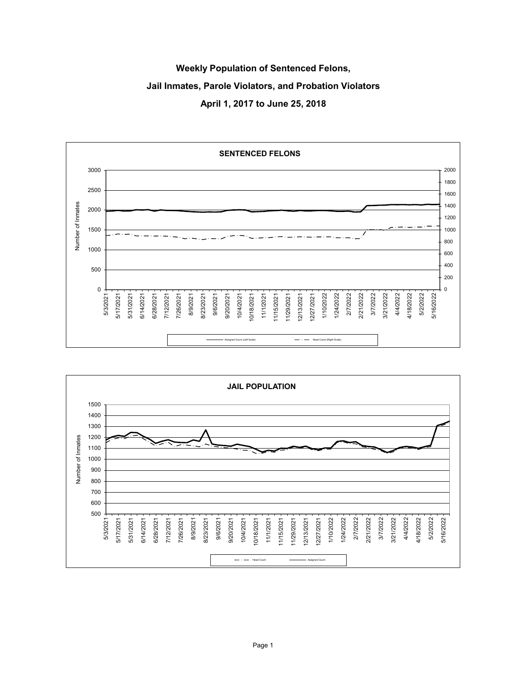# **Weekly Population of Sentenced Felons, Jail Inmates, Parole Violators, and Probation Violators April 1, 2017 to June 25, 2018**